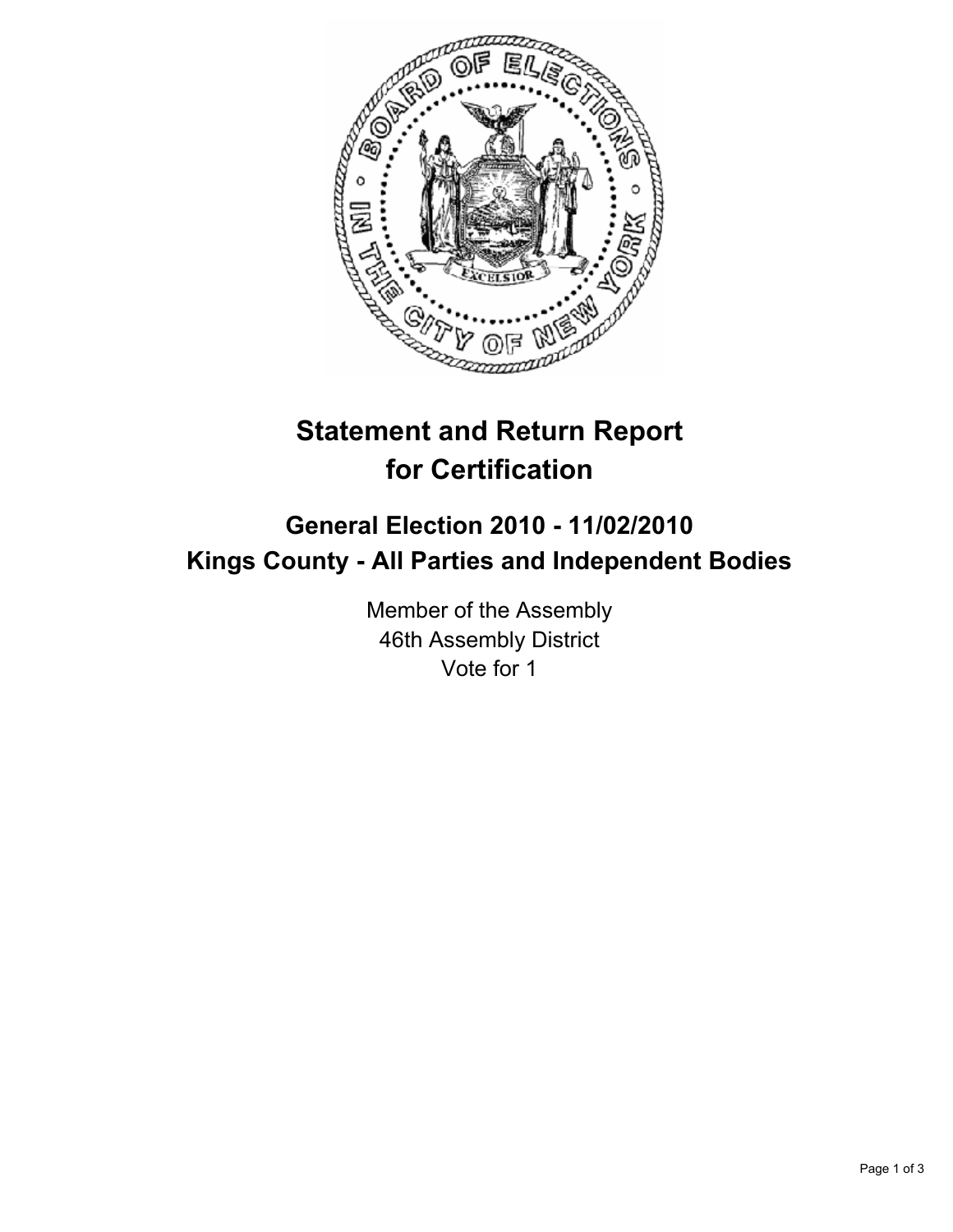

## **Statement and Return Report for Certification**

## **General Election 2010 - 11/02/2010 Kings County - All Parties and Independent Bodies**

Member of the Assembly 46th Assembly District Vote for 1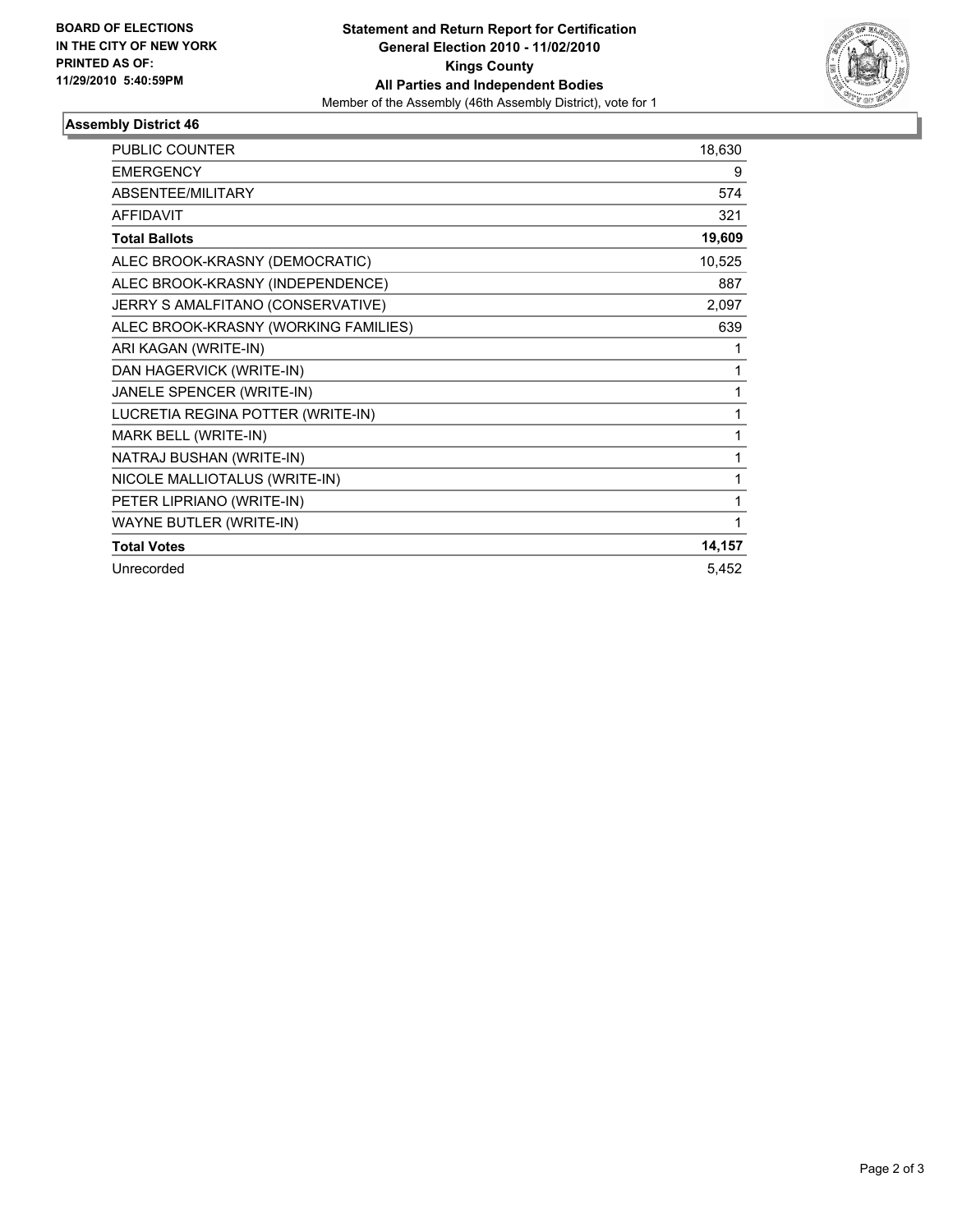

## **Assembly District 46**

| <b>PUBLIC COUNTER</b>                | 18,630 |
|--------------------------------------|--------|
| <b>EMERGENCY</b>                     | 9      |
| <b>ABSENTEE/MILITARY</b>             | 574    |
| <b>AFFIDAVIT</b>                     | 321    |
| <b>Total Ballots</b>                 | 19,609 |
| ALEC BROOK-KRASNY (DEMOCRATIC)       | 10,525 |
| ALEC BROOK-KRASNY (INDEPENDENCE)     | 887    |
| JERRY S AMALFITANO (CONSERVATIVE)    | 2,097  |
| ALEC BROOK-KRASNY (WORKING FAMILIES) | 639    |
| ARI KAGAN (WRITE-IN)                 | 1      |
| DAN HAGERVICK (WRITE-IN)             | 1      |
| JANELE SPENCER (WRITE-IN)            | 1      |
| LUCRETIA REGINA POTTER (WRITE-IN)    | 1      |
| MARK BELL (WRITE-IN)                 | 1      |
| NATRAJ BUSHAN (WRITE-IN)             | 1      |
| NICOLE MALLIOTALUS (WRITE-IN)        | 1      |
| PETER LIPRIANO (WRITE-IN)            | 1      |
| WAYNE BUTLER (WRITE-IN)              | 1      |
| <b>Total Votes</b>                   | 14,157 |
| Unrecorded                           | 5,452  |